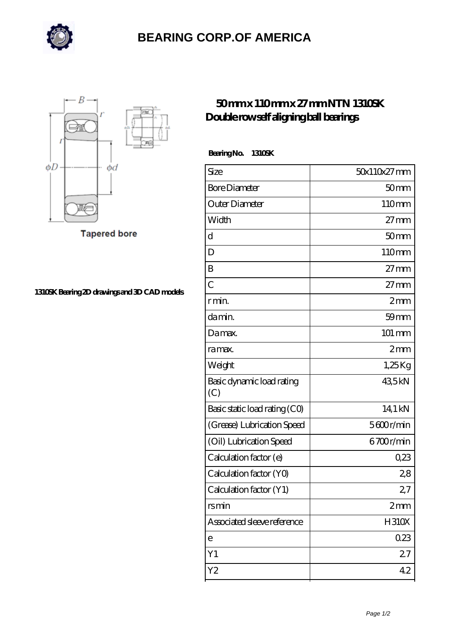

## **[BEARING CORP.OF AMERICA](https://m.richiecusick.com)**



**Tapered bore** 

**[1310SK Bearing 2D drawings and 3D CAD models](https://m.richiecusick.com/pic-64956768.html)**

## **[50 mm x 110 mm x 27 mm NTN 1310SK](https://m.richiecusick.com/aw-64956768-ntn-1310sk-double-row-self-aligning-ball-bearings.html) [Double row self aligning ball bearings](https://m.richiecusick.com/aw-64956768-ntn-1310sk-double-row-self-aligning-ball-bearings.html)**

 **Bearing No. 1310SK**

| Size                             | 50x110x27mm      |
|----------------------------------|------------------|
| <b>Bore Diameter</b>             | 50 <sub>mm</sub> |
| Outer Diameter                   | 110mm            |
| Width                            | $27 \text{mm}$   |
| d                                | 50 <sub>mm</sub> |
| D                                | 110mm            |
| B                                | $27 \text{mm}$   |
| $\overline{C}$                   | $27 \text{mm}$   |
| r min.                           | 2mm              |
| damin.                           | $59$ mm          |
| Damax.                           | 101 mm           |
| ra max.                          | $2 \text{mm}$    |
| Weight                           | $1,25$ Kg        |
| Basic dynamic load rating<br>(C) | 435kN            |
| Basic static load rating (CO)    | 14,1 kN          |
| (Grease) Lubrication Speed       | 5600r/min        |
| (Oil) Lubrication Speed          | 6700r/min        |
| Calculation factor (e)           | 0,23             |
| Calculation factor (YO)          | 28               |
| Calculation factor (Y1)          | 27               |
| rsmin                            | 2mm              |
| Associated sleeve reference      | <b>H310X</b>     |
| е                                | 023              |
| Y1                               | 27               |
| Y2                               | 42               |
|                                  |                  |